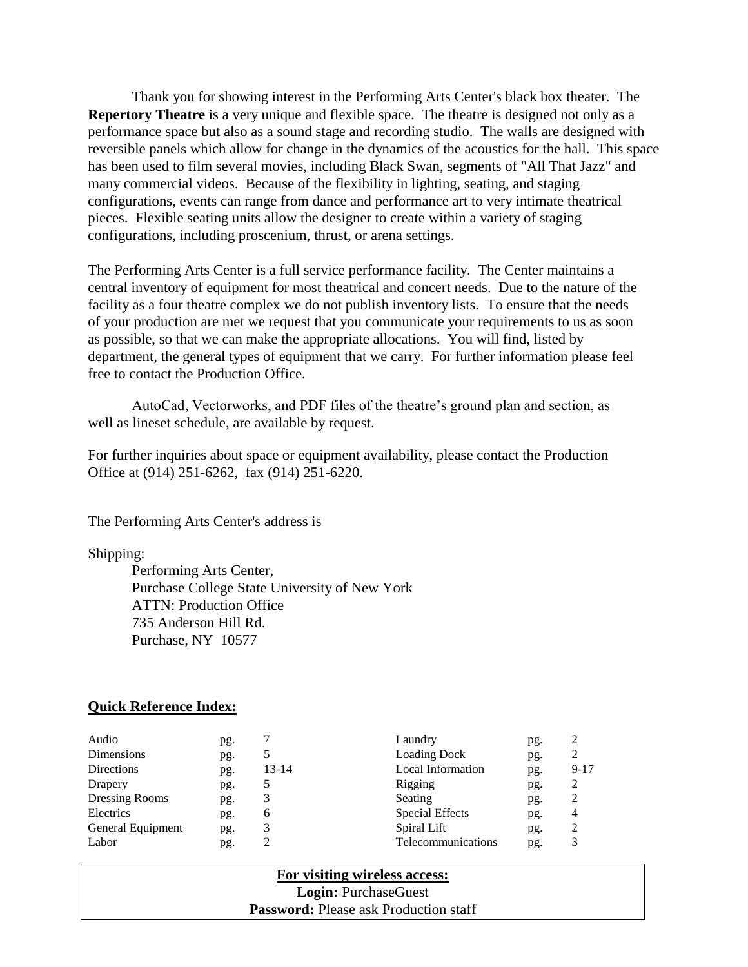Thank you for showing interest in the Performing Arts Center's black box theater. The **Repertory Theatre** is a very unique and flexible space. The theatre is designed not only as a performance space but also as a sound stage and recording studio. The walls are designed with reversible panels which allow for change in the dynamics of the acoustics for the hall. This space has been used to film several movies, including Black Swan, segments of "All That Jazz" and many commercial videos. Because of the flexibility in lighting, seating, and staging configurations, events can range from dance and performance art to very intimate theatrical pieces. Flexible seating units allow the designer to create within a variety of staging configurations, including proscenium, thrust, or arena settings.

The Performing Arts Center is a full service performance facility. The Center maintains a central inventory of equipment for most theatrical and concert needs. Due to the nature of the facility as a four theatre complex we do not publish inventory lists. To ensure that the needs of your production are met we request that you communicate your requirements to us as soon as possible, so that we can make the appropriate allocations. You will find, listed by department, the general types of equipment that we carry. For further information please feel free to contact the Production Office.

AutoCad, Vectorworks, and PDF files of the theatre's ground plan and section, as well as lineset schedule, are available by request.

For further inquiries about space or equipment availability, please contact the Production Office at (914) 251-6262, fax (914) 251-6220.

The Performing Arts Center's address is

Shipping:

Performing Arts Center, Purchase College State University of New York ATTN: Production Office 735 Anderson Hill Rd. Purchase, NY 10577

### **Quick Reference Index:**

| Audio             | pg. |           | Laundry                  | pg. |                |
|-------------------|-----|-----------|--------------------------|-----|----------------|
| Dimensions        | pg. |           | <b>Loading Dock</b>      | pg. |                |
| Directions        | pg. | $13 - 14$ | <b>Local Information</b> | pg. | $9 - 17$       |
| Drapery           | pg. |           | Rigging                  | pg. | 2              |
| Dressing Rooms    | pg. | 3         | Seating                  | pg. |                |
| Electrics         | pg. | 6         | <b>Special Effects</b>   | pg. | $\overline{4}$ |
| General Equipment | pg. | 3         | Spiral Lift              | pg. |                |
| Labor             | pg. | 2         | Telecommunications       | pg. |                |

**For visiting wireless access: Login:** PurchaseGuest **Password:** Please ask Production staff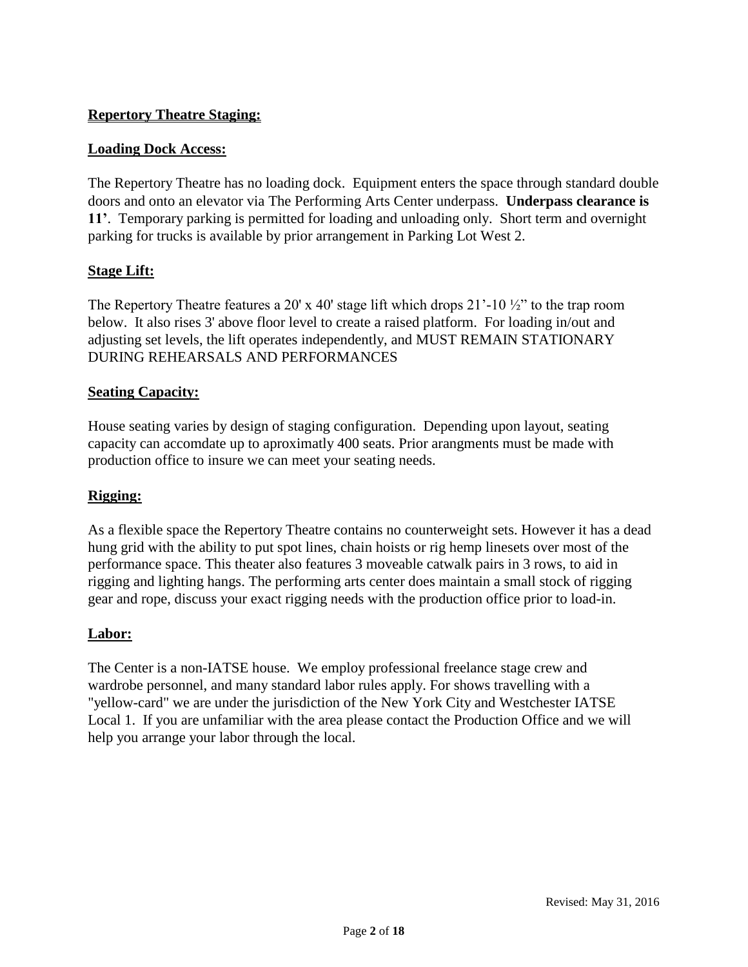### **Repertory Theatre Staging:**

### **Loading Dock Access:**

The Repertory Theatre has no loading dock. Equipment enters the space through standard double doors and onto an elevator via The Performing Arts Center underpass. **Underpass clearance is 11'**. Temporary parking is permitted for loading and unloading only. Short term and overnight parking for trucks is available by prior arrangement in Parking Lot West 2.

### **Stage Lift:**

The Repertory Theatre features a 20' x 40' stage lift which drops  $21'$ -10  $\frac{1}{2}$ " to the trap room below. It also rises 3' above floor level to create a raised platform. For loading in/out and adjusting set levels, the lift operates independently, and MUST REMAIN STATIONARY DURING REHEARSALS AND PERFORMANCES

### **Seating Capacity:**

House seating varies by design of staging configuration. Depending upon layout, seating capacity can accomdate up to aproximatly 400 seats. Prior arangments must be made with production office to insure we can meet your seating needs.

### **Rigging:**

As a flexible space the Repertory Theatre contains no counterweight sets. However it has a dead hung grid with the ability to put spot lines, chain hoists or rig hemp linesets over most of the performance space. This theater also features 3 moveable catwalk pairs in 3 rows, to aid in rigging and lighting hangs. The performing arts center does maintain a small stock of rigging gear and rope, discuss your exact rigging needs with the production office prior to load-in.

### **Labor:**

The Center is a non-IATSE house. We employ professional freelance stage crew and wardrobe personnel, and many standard labor rules apply. For shows travelling with a "yellow-card" we are under the jurisdiction of the New York City and Westchester IATSE Local 1. If you are unfamiliar with the area please contact the Production Office and we will help you arrange your labor through the local.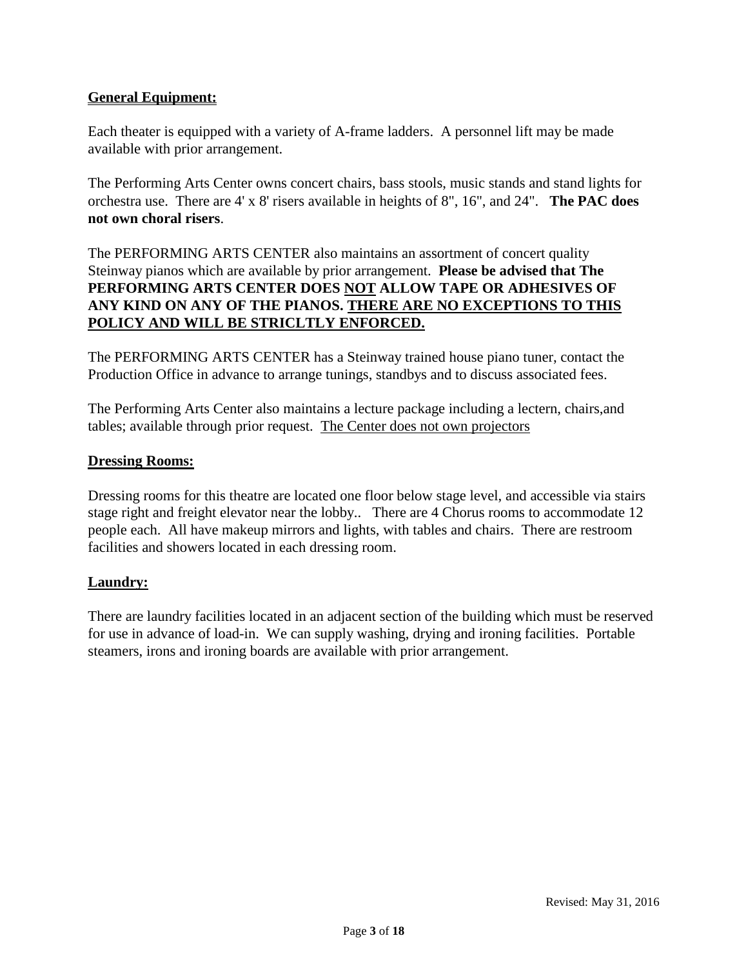### **General Equipment:**

Each theater is equipped with a variety of A-frame ladders. A personnel lift may be made available with prior arrangement.

The Performing Arts Center owns concert chairs, bass stools, music stands and stand lights for orchestra use. There are 4' x 8' risers available in heights of 8", 16", and 24". **The PAC does not own choral risers**.

### The PERFORMING ARTS CENTER also maintains an assortment of concert quality Steinway pianos which are available by prior arrangement. **Please be advised that The PERFORMING ARTS CENTER DOES NOT ALLOW TAPE OR ADHESIVES OF ANY KIND ON ANY OF THE PIANOS. THERE ARE NO EXCEPTIONS TO THIS POLICY AND WILL BE STRICLTLY ENFORCED.**

The PERFORMING ARTS CENTER has a Steinway trained house piano tuner, contact the Production Office in advance to arrange tunings, standbys and to discuss associated fees.

The Performing Arts Center also maintains a lecture package including a lectern, chairs,and tables; available through prior request. The Center does not own projectors

### **Dressing Rooms:**

Dressing rooms for this theatre are located one floor below stage level, and accessible via stairs stage right and freight elevator near the lobby.. There are 4 Chorus rooms to accommodate 12 people each. All have makeup mirrors and lights, with tables and chairs. There are restroom facilities and showers located in each dressing room.

### **Laundry:**

There are laundry facilities located in an adjacent section of the building which must be reserved for use in advance of load-in. We can supply washing, drying and ironing facilities. Portable steamers, irons and ironing boards are available with prior arrangement.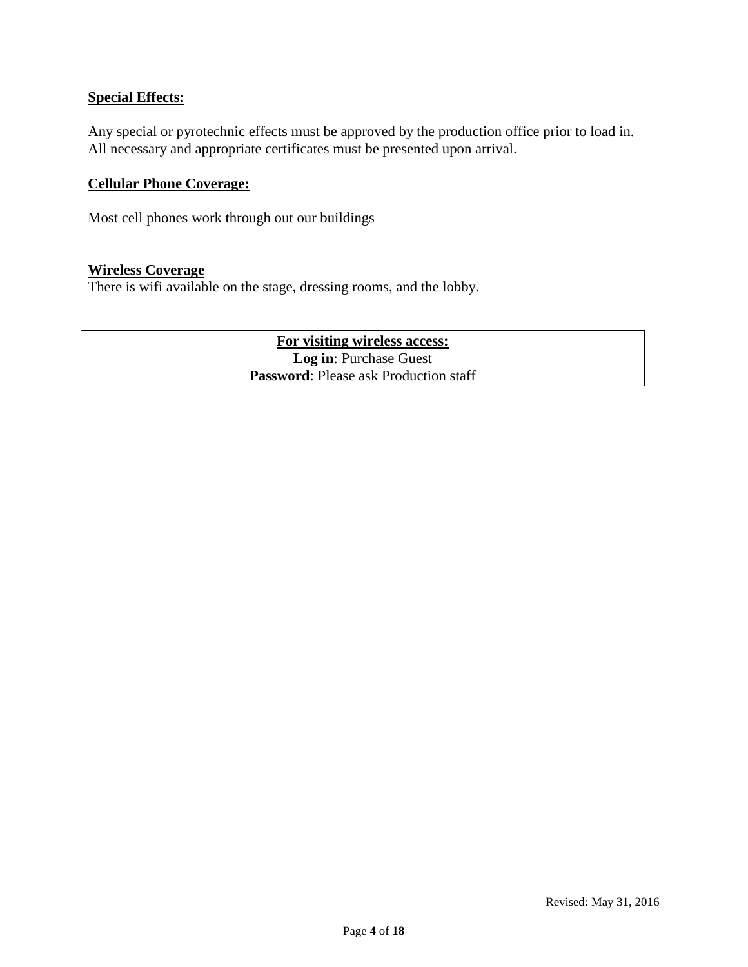### **Special Effects:**

Any special or pyrotechnic effects must be approved by the production office prior to load in. All necessary and appropriate certificates must be presented upon arrival.

### **Cellular Phone Coverage:**

Most cell phones work through out our buildings

### **Wireless Coverage**

There is wifi available on the stage, dressing rooms, and the lobby.

**For visiting wireless access: Log in**: Purchase Guest **Password**: Please ask Production staff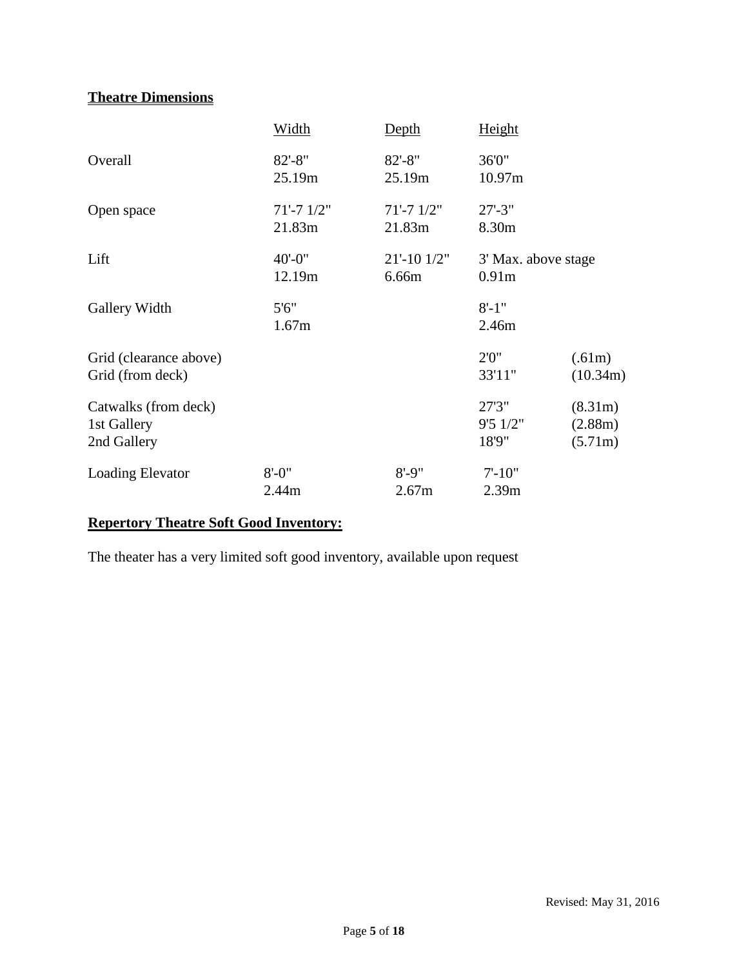## **Theatre Dimensions**

|                                                    | Width                   | <b>Depth</b>               | Height                                   |                               |
|----------------------------------------------------|-------------------------|----------------------------|------------------------------------------|-------------------------------|
| Overall                                            | $82' - 8''$<br>25.19m   | $82 - 8"$<br>25.19m        | 36'0"<br>10.97m                          |                               |
| Open space                                         | $71' - 71/2"$<br>21.83m | $71' - 71/2"$<br>21.83m    | $27 - 3"$<br>8.30m                       |                               |
| Lift                                               | $40' - 0''$<br>12.19m   | $21' - 10$ $1/2"$<br>6.66m | 3' Max. above stage<br>0.91 <sub>m</sub> |                               |
| Gallery Width                                      | 5'6''<br>1.67m          |                            | $8' - 1''$<br>2.46m                      |                               |
| Grid (clearance above)<br>Grid (from deck)         |                         |                            | 2'0''<br>33'11"                          | (.61m)<br>(10.34m)            |
| Catwalks (from deck)<br>1st Gallery<br>2nd Gallery |                         |                            | 27'3"<br>9'51/2"<br>18'9"                | (8.31m)<br>(2.88m)<br>(5.71m) |
| <b>Loading Elevator</b>                            | $8' - 0''$<br>2.44m     | $8' - 9''$<br>2.67m        | $7' - 10"$<br>2.39 <sub>m</sub>          |                               |

### **Repertory Theatre Soft Good Inventory:**

The theater has a very limited soft good inventory, available upon request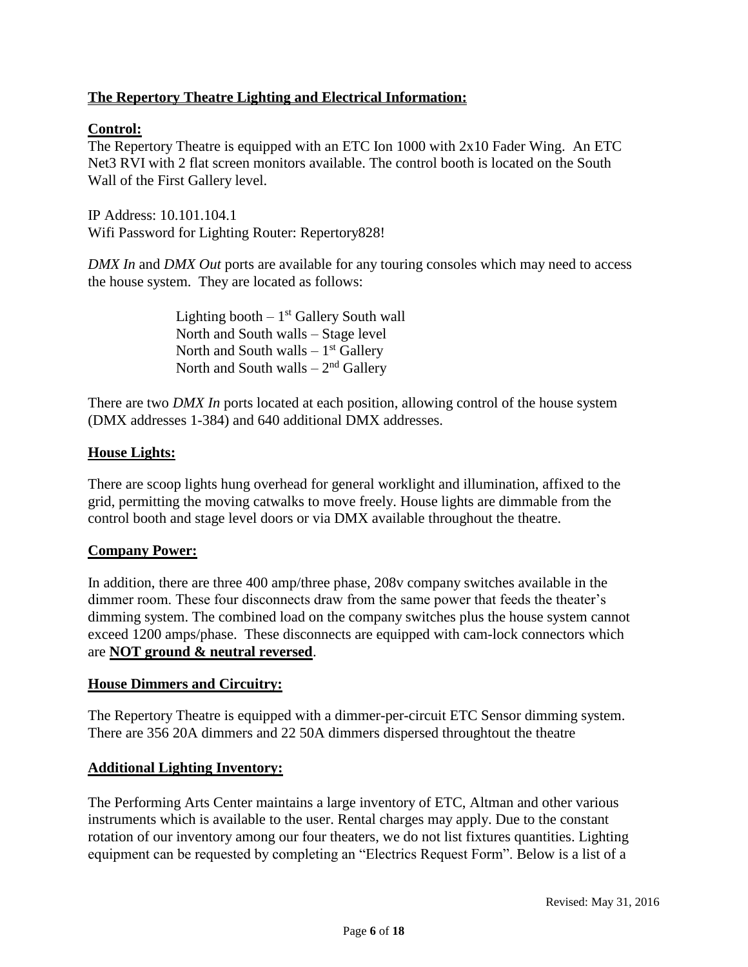### **The Repertory Theatre Lighting and Electrical Information:**

### **Control:**

The Repertory Theatre is equipped with an ETC Ion 1000 with 2x10 Fader Wing. An ETC Net3 RVI with 2 flat screen monitors available. The control booth is located on the South Wall of the First Gallery level.

IP Address: 10.101.104.1 Wifi Password for Lighting Router: Repertory828!

*DMX In* and *DMX Out* ports are available for any touring consoles which may need to access the house system. They are located as follows:

> Lighting booth  $-1<sup>st</sup>$  Gallery South wall North and South walls – Stage level North and South walls  $-1<sup>st</sup>$  Gallery North and South walls  $-2<sup>nd</sup>$  Gallery

There are two *DMX In* ports located at each position, allowing control of the house system (DMX addresses 1-384) and 640 additional DMX addresses.

### **House Lights:**

There are scoop lights hung overhead for general worklight and illumination, affixed to the grid, permitting the moving catwalks to move freely. House lights are dimmable from the control booth and stage level doors or via DMX available throughout the theatre.

### **Company Power:**

In addition, there are three 400 amp/three phase, 208v company switches available in the dimmer room. These four disconnects draw from the same power that feeds the theater's dimming system. The combined load on the company switches plus the house system cannot exceed 1200 amps/phase. These disconnects are equipped with cam-lock connectors which are **NOT ground & neutral reversed**.

### **House Dimmers and Circuitry:**

The Repertory Theatre is equipped with a dimmer-per-circuit ETC Sensor dimming system. There are 356 20A dimmers and 22 50A dimmers dispersed throughtout the theatre

### **Additional Lighting Inventory:**

The Performing Arts Center maintains a large inventory of ETC, Altman and other various instruments which is available to the user. Rental charges may apply. Due to the constant rotation of our inventory among our four theaters, we do not list fixtures quantities. Lighting equipment can be requested by completing an "Electrics Request Form". Below is a list of a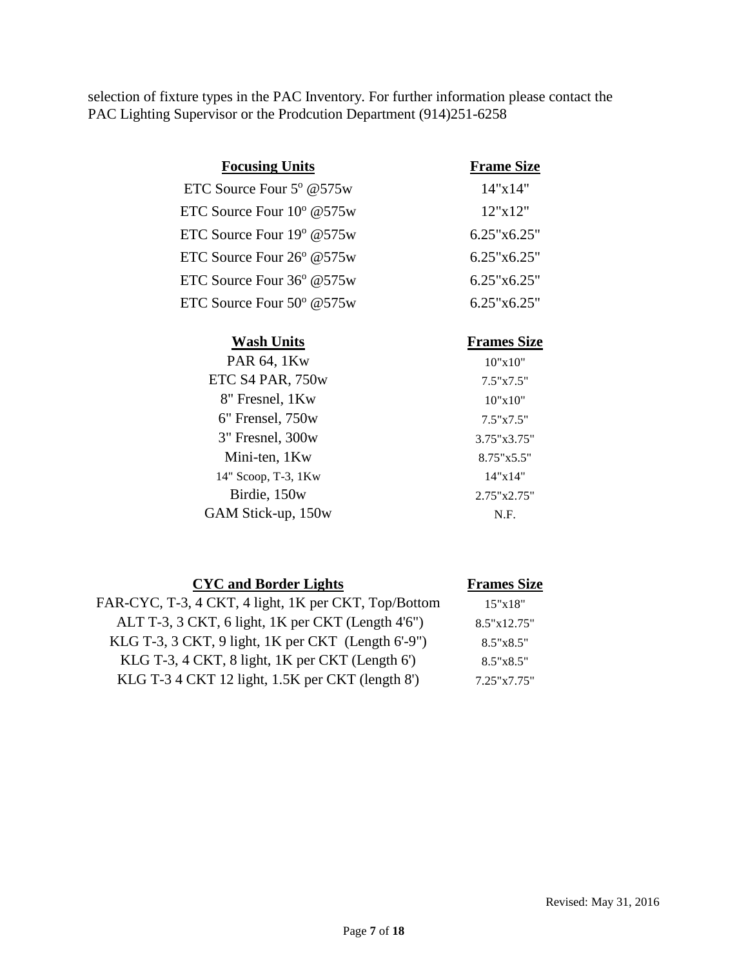selection of fixture types in the PAC Inventory. For further information please contact the PAC Lighting Supervisor or the Prodcution Department (914)251-6258

| <b>Focusing Units</b>               | <b>Frame Size</b> |
|-------------------------------------|-------------------|
| ETC Source Four $5^{\circ}$ @ 575w  | 14"x14"           |
| ETC Source Four $10^{\circ}$ @575w  | 12"x12"           |
| ETC Source Four $19^{\circ}$ @575w  | 6.25"x6.25"       |
| ETC Source Four $26^{\circ}$ @575w  | 6.25"x6.25"       |
| ETC Source Four $36^{\circ}$ @575w  | 6.25"x6.25"       |
| ETC Source Four $50^{\circ}$ @ 575w | 6.25"x6.25"       |
|                                     |                   |

| <b>Wash Units</b>    | <b>Frames Size</b>  |
|----------------------|---------------------|
| PAR 64, 1Kw          | 10"x10"             |
| ETC S4 PAR, 750w     | $7.5" \times 7.5"$  |
| 8" Fresnel, 1Kw      | 10"x10"             |
| $6"$ Frensel, $750w$ | $7.5" \times 7.5"$  |
| $3"$ Fresnel, $300w$ | 3.75"x3.75"         |
| Mini-ten, 1Kw        | $8.75" \times 5.5"$ |
| 14" Scoop, T-3, 1Kw  | 14"x14"             |
| Birdie, 150w         | 2.75"x2.75"         |
| GAM Stick-up, 150w   | N.F.                |
|                      |                     |

| <b>CYC</b> and Border Lights                         | <b>Frames Size</b> |
|------------------------------------------------------|--------------------|
| FAR-CYC, T-3, 4 CKT, 4 light, 1K per CKT, Top/Bottom | 15"x18"            |
| ALT T-3, 3 CKT, 6 light, 1K per CKT (Length 4'6")    | 8.5"x12.75"        |
| KLG T-3, 3 CKT, 9 light, 1K per CKT (Length 6'-9")   | 8.5"x8.5"          |
| KLG T-3, 4 CKT, 8 light, 1K per CKT (Length 6')      | 8.5"x8.5"          |
| KLG T-3 4 CKT 12 light, 1.5K per CKT (length 8')     | 7.25"x7.75"        |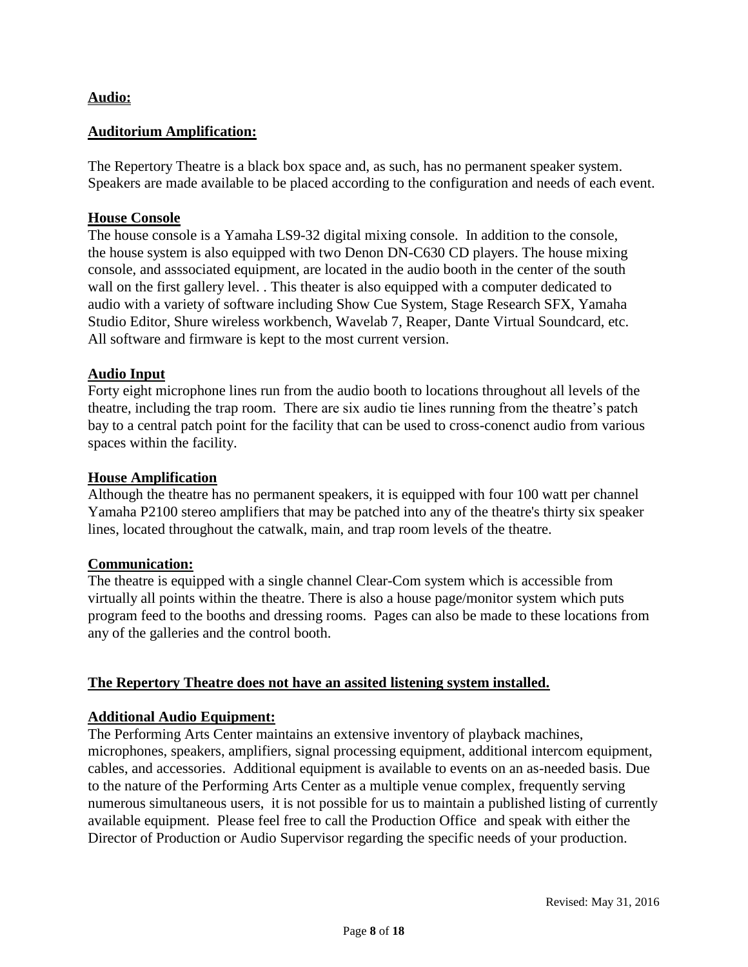### **Audio:**

### **Auditorium Amplification:**

The Repertory Theatre is a black box space and, as such, has no permanent speaker system. Speakers are made available to be placed according to the configuration and needs of each event.

### **House Console**

The house console is a Yamaha LS9-32 digital mixing console. In addition to the console, the house system is also equipped with two Denon DN-C630 CD players. The house mixing console, and asssociated equipment, are located in the audio booth in the center of the south wall on the first gallery level. . This theater is also equipped with a computer dedicated to audio with a variety of software including Show Cue System, Stage Research SFX, Yamaha Studio Editor, Shure wireless workbench, Wavelab 7, Reaper, Dante Virtual Soundcard, etc. All software and firmware is kept to the most current version.

### **Audio Input**

Forty eight microphone lines run from the audio booth to locations throughout all levels of the theatre, including the trap room. There are six audio tie lines running from the theatre's patch bay to a central patch point for the facility that can be used to cross-conenct audio from various spaces within the facility.

### **House Amplification**

Although the theatre has no permanent speakers, it is equipped with four 100 watt per channel Yamaha P2100 stereo amplifiers that may be patched into any of the theatre's thirty six speaker lines, located throughout the catwalk, main, and trap room levels of the theatre.

### **Communication:**

The theatre is equipped with a single channel Clear-Com system which is accessible from virtually all points within the theatre. There is also a house page/monitor system which puts program feed to the booths and dressing rooms. Pages can also be made to these locations from any of the galleries and the control booth.

### **The Repertory Theatre does not have an assited listening system installed.**

### **Additional Audio Equipment:**

The Performing Arts Center maintains an extensive inventory of playback machines, microphones, speakers, amplifiers, signal processing equipment, additional intercom equipment, cables, and accessories. Additional equipment is available to events on an as-needed basis. Due to the nature of the Performing Arts Center as a multiple venue complex, frequently serving numerous simultaneous users, it is not possible for us to maintain a published listing of currently available equipment. Please feel free to call the Production Office and speak with either the Director of Production or Audio Supervisor regarding the specific needs of your production.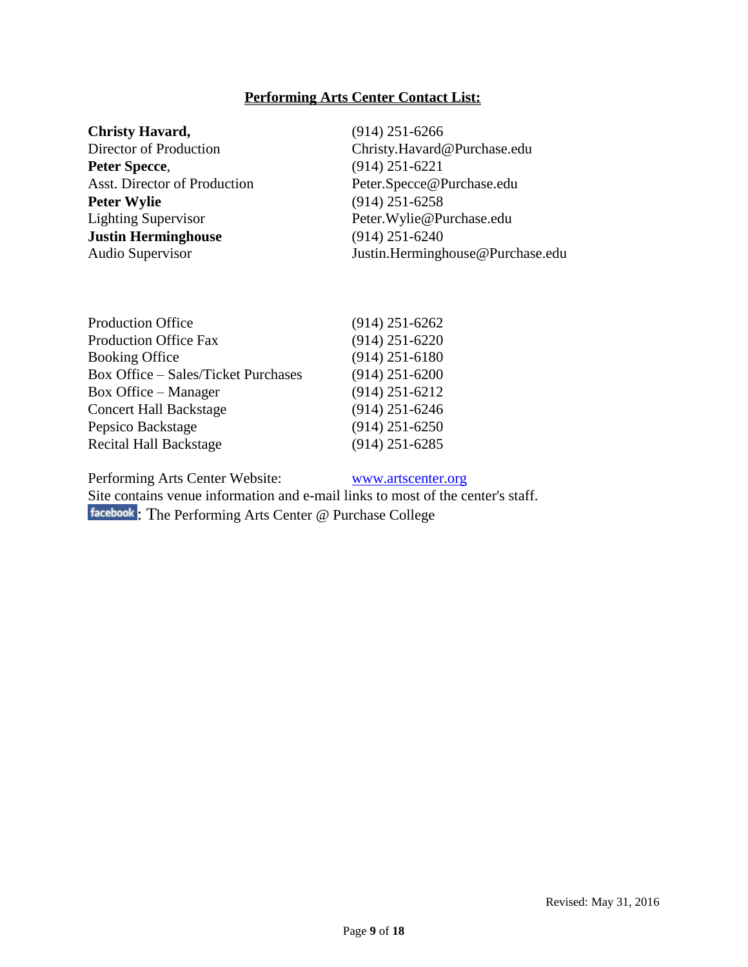### **Performing Arts Center Contact List:**

| <b>Christy Havard,</b>       | $(914)$ 251-6266                 |
|------------------------------|----------------------------------|
| Director of Production       | Christy.Havard@Purchase.edu      |
| Peter Specce,                | $(914)$ 251-6221                 |
| Asst. Director of Production | Peter.Specce@Purchase.edu        |
| <b>Peter Wylie</b>           | $(914)$ 251-6258                 |
| <b>Lighting Supervisor</b>   | Peter. Wylie@Purchase.edu        |
| <b>Justin Herminghouse</b>   | $(914)$ 251-6240                 |
| Audio Supervisor             | Justin.Herminghouse@Purchase.edu |
|                              |                                  |

| <b>Production Office</b>                   | $(914)$ 251-6262 |
|--------------------------------------------|------------------|
| <b>Production Office Fax</b>               | $(914)$ 251-6220 |
| <b>Booking Office</b>                      | $(914)$ 251-6180 |
| <b>Box Office - Sales/Ticket Purchases</b> | $(914)$ 251-6200 |
| <b>Box Office</b> – Manager                | $(914)$ 251-6212 |
| <b>Concert Hall Backstage</b>              | $(914)$ 251-6246 |
| Pepsico Backstage                          | $(914)$ 251-6250 |
| <b>Recital Hall Backstage</b>              | $(914)$ 251-6285 |
|                                            |                  |

Performing Arts Center Website: [www.artscenter.org](http://www.artscenter.org/)

Site contains venue information and e-mail links to most of the center's staff. [:](http://www.facebook.com/#!/pages/The-Performing-Arts-Center-Purchase-College/239798119185) The Performing Arts Center @ Purchase College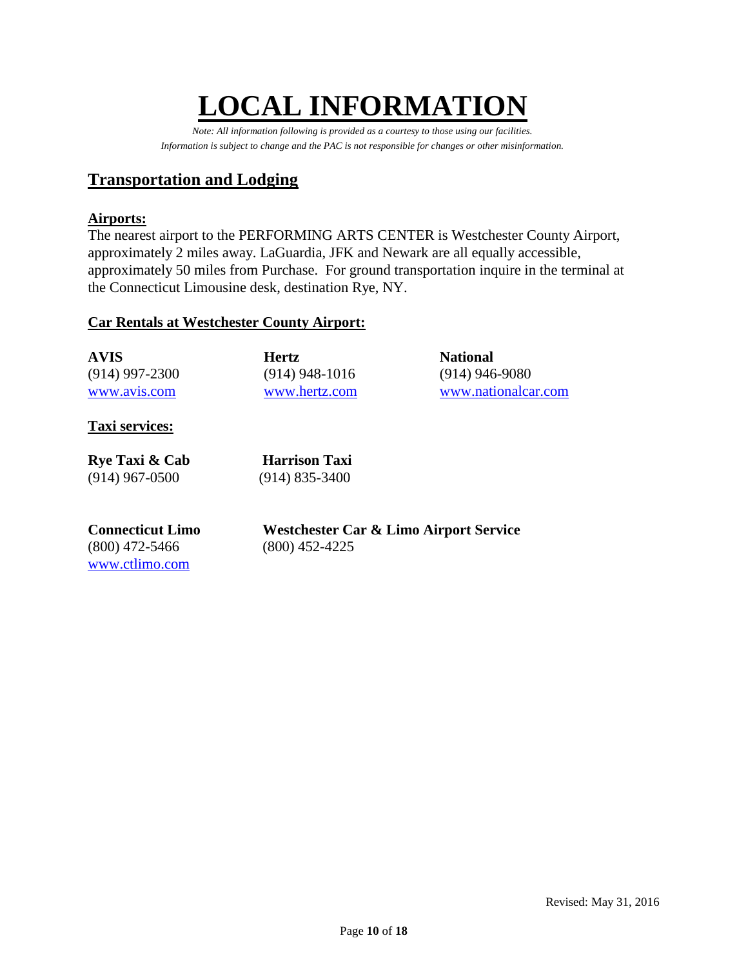# **LOCAL INFORMATIO**

*Note: All information following is provided as a courtesy to those using our facilities. Information is subject to change and the PAC is not responsible for changes or other misinformation.*

# **Transportation and Lodging**

### **Airports:**

The nearest airport to the PERFORMING ARTS CENTER is Westchester County Airport, approximately 2 miles away. LaGuardia, JFK and Newark are all equally accessible, approximately 50 miles from Purchase. For ground transportation inquire in the terminal at the Connecticut Limousine desk, destination Rye, NY.

### **Car Rentals at Westchester County Airport:**

| <b>AVIS</b>      | <b>Hertz</b>     | <b>National</b>     |
|------------------|------------------|---------------------|
| $(914)$ 997-2300 | $(914)$ 948-1016 | $(914)$ 946-9080    |
| www.avis.com     | www.hertz.com    | www.nationalcar.com |

### **Taxi services:**

| Rye Taxi & Cab   |
|------------------|
| $(914)$ 967-0500 |

**Harrison Taxi**  $(914)$  835-3400

# (800) 472-5466 (800) 452-4225 [www.ctlimo.com](http://www.ctlimo.com/)

**Connecticut Limo Westchester Car & Limo Airport Service**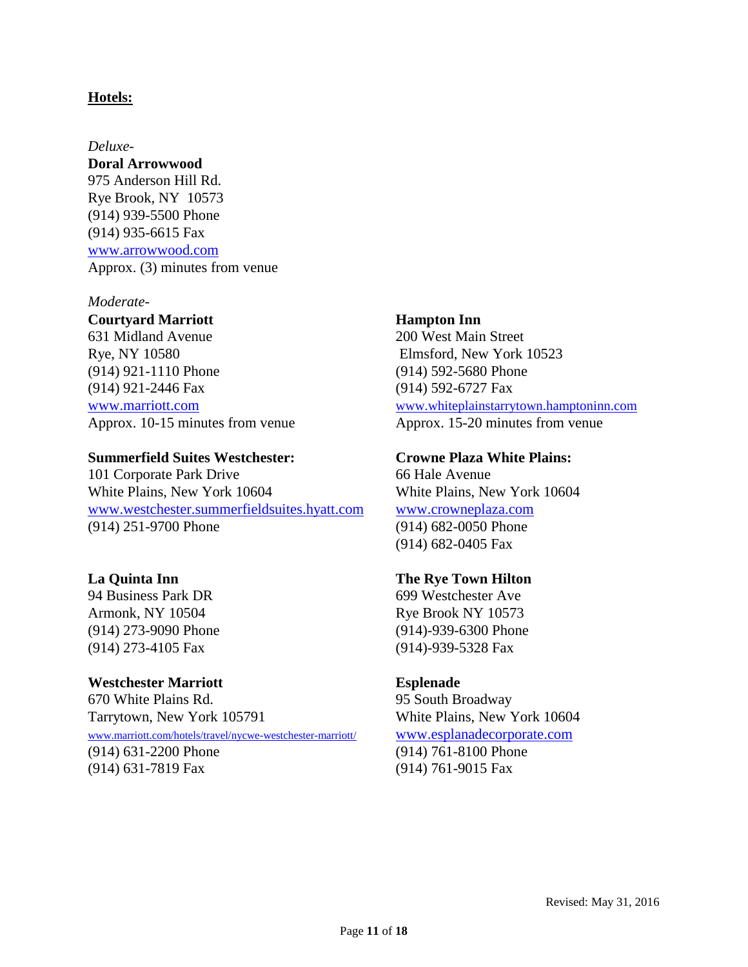### **Hotels:**

### *Deluxe-*

**Doral Arrowwood**

975 Anderson Hill Rd. Rye Brook, NY 10573 (914) 939-5500 Phone (914) 935-6615 Fax [www.arrowwood.com](http://www.arrowwood.com/) Approx. (3) minutes from venue

### *Moderate-*

**Courtyard Marriott Hampton Inn**

631 Midland Avenue 200 West Main Street Rye, NY 10580 Elmsford, New York 10523 (914) 921-1110 Phone (914) 592-5680 Phone (914) 921-2446 Fax (914) 592-6727 Fax

### **Summerfield Suites Westchester: Crowne Plaza White Plains:**

101 Corporate Park Drive 66 Hale Avenue White Plains, New York 10604 White Plains, New York 10604 [www.westchester.summerfieldsuites.hyatt.com](file://///vsfile02/Trevor%20C/Technical%20Info%20working/Pac%20Technical%20Info/Source%20Files/Theater%20A/www.westchester.summerfieldsuites.hyatt.com) [www.crowneplaza.com](http://www.crowneplaza.com/) (914) 251-9700 Phone (914) 682-0050 Phone

94 Business Park DR 699 Westchester Ave Armonk, NY 10504 Rye Brook NY 10573 (914) 273-4105 Fax (914)-939-5328 Fax

**Westchester Marriott Esplenade**  670 White Plains Rd. 95 South Broadway Tarrytown, New York 105791 White Plains, New York 10604 [www.marriott.com/hotels/travel/nycwe-westchester-marriott/](http://www.marriott.com/hotels/travel/nycwe-westchester-marriott/) [www.esplanadecorporate.com](http://www.esplanadecorporate.com/) (914) 631-2200 Phone (914) 761-8100 Phone (914) 631-7819 Fax (914) 761-9015 Fax

[www.marriott.com](http://www.marriott.com/) [www.whiteplainstarrytown.hamptoninn.com](http://www.whiteplainstarrytown.hamptoninn.com/) Approx. 10-15 minutes from venue Approx. 15-20 minutes from venue

(914) 682-0405 Fax

### **La Quinta Inn The Rye Town Hilton**

(914) 273-9090 Phone (914)-939-6300 Phone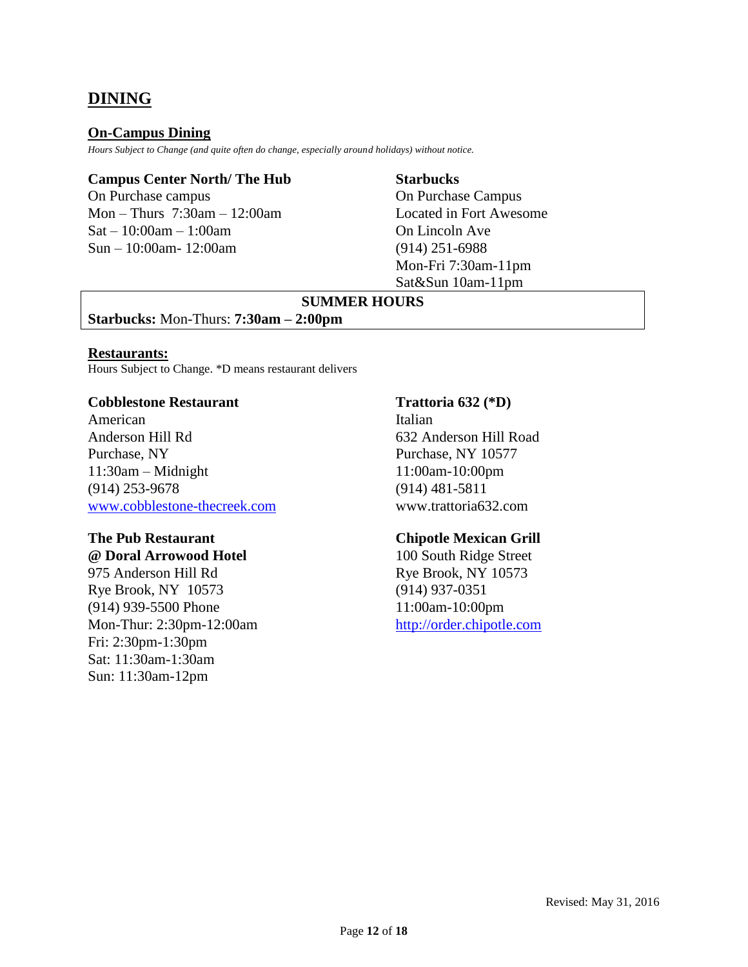# **DINING**

### **On-Campus Dining**

*Hours Subject to Change (and quite often do change, especially around holidays) without notice.*

### **Campus Center North/ The Hub Starbucks**

On Purchase campus On Purchase Campus Mon – Thurs 7:30am – 12:00am Located in Fort Awesome  $Sat - 10:00am - 1:00am$  On Lincoln Ave Sun – 10:00am- 12:00am (914) 251-6988

Mon-Fri 7:30am-11pm Sat&Sun 10am-11pm

### **SUMMER HOURS**

**Starbucks:** Mon-Thurs: **7:30am – 2:00pm**

### **Restaurants:**

Hours Subject to Change. \*D means restaurant delivers

### **Cobblestone Restaurant Trattoria 632 (\*D)**

American Italian Anderson Hill Rd 632 Anderson Hill Road Purchase, NY 10577 11:30am – Midnight 11:00am-10:00pm (914) 253-9678 (914) 481-5811 [www.cobblestone-thecreek.com](file://///vsfile02/Trevor%20C/Technical%20Info%20working/Pac%20Technical%20Info/Source%20Files/Theater%20A/www.cobblestone-thecreek.com) www.trattoria632.com

# **The Pub Restaurant Chipotle Mexican Grill**

Rye Brook, NY 10573 (914) 937-0351 (914) 939-5500 Phone 11:00am-10:00pm Mon-Thur: 2:30pm-12:00am [http://order.chipotle.com](http://order.chipotle.com/) Fri: 2:30pm-1:30pm Sat: 11:30am-1:30am Sun: 11:30am-12pm

**@ Doral Arrowood Hotel** 100 South Ridge Street 975 Anderson Hill Rd Rye Brook, NY 10573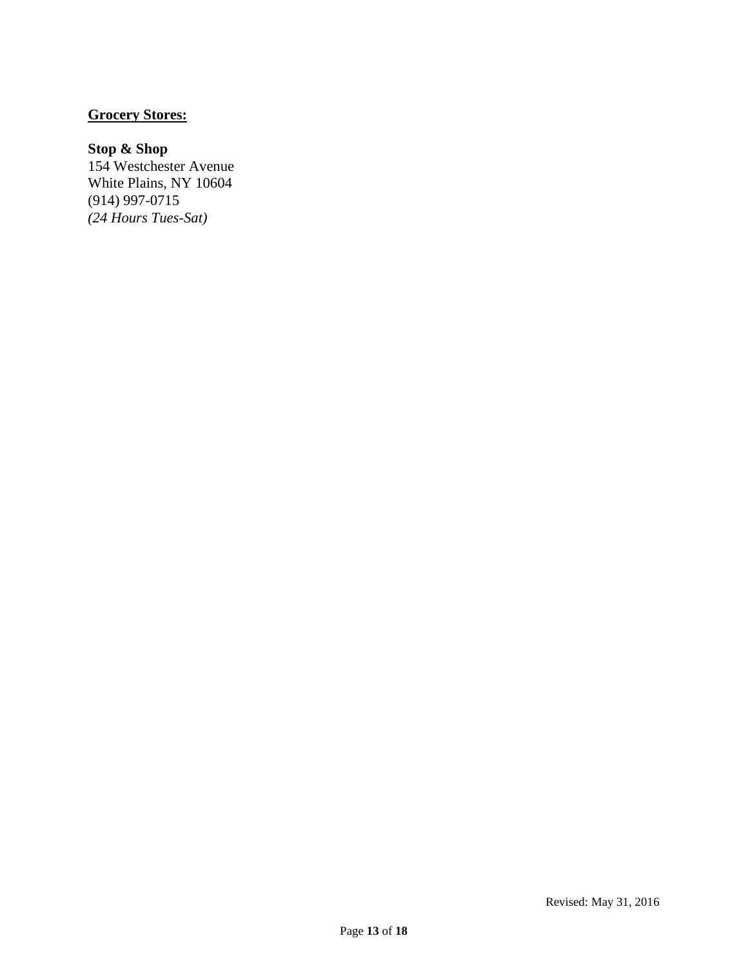### **Grocery Stores:**

### **Stop & Shop**

154 Westchester Avenue White Plains, NY 10604 (914) 997-0715 *(24 Hours Tues-Sat)*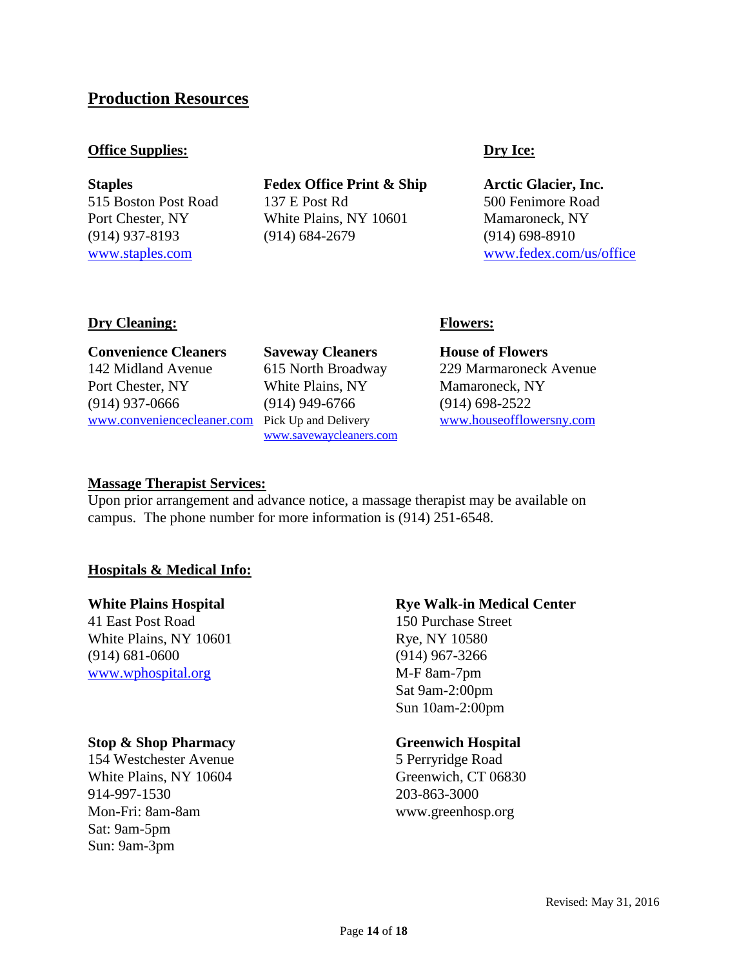### **Production Resources**

### **Office Supplies: Dry Ice:**

**Staples Fedex Office Print & Ship Arctic Glacier, Inc.** 515 Boston Post Road 137 E Post Rd 500 Fenimore Road Port Chester, NY White Plains, NY 10601 Mamaroneck, NY (914) 937-8193 (914) 684-2679 (914) 698-8910

[www.staples.com](file://///vsfile02/Trevor%20C/Technical%20Info%20working/Pac%20Technical%20Info/Source%20Files/Theater%20A/www.staples.com) www.staples.com [www.fedex.com/us/office](file://///vsfile02/Trevor%20C/Technical%20Info%20working/Pac%20Technical%20Info/Source%20Files/Theater%20A/www.fedex.com/us/office)

### **Dry Cleaning: Flowers:**

**Convenience Cleaners Saveway Cleaners House of Flowers** 142 Midland Avenue 615 North Broadway 229 Marmaroneck Avenue Port Chester, NY White Plains, NY Mamaroneck, NY (914) 937-0666 (914) 949-6766 (914) 698-2522 [www.conveniencecleaner.com](file://///vsfile02/Trevor%20C/Technical%20Info%20working/Pac%20Technical%20Info/Source%20Files/Theater%20A/www.conveniencecleaner.com) Pick Up and Delivery [www.houseofflowersny.com](http://www.houseofflowersny.com/)

[www.savewaycleaners.com](http://www.savewaycleaners.com/)

### **Massage Therapist Services:**

Upon prior arrangement and advance notice, a massage therapist may be available on campus. The phone number for more information is (914) 251-6548.

### **Hospitals & Medical Info:**

41 East Post Road 150 Purchase Street White Plains, NY 10601 Rye, NY 10580 (914) 681-0600 (914) 967-3266 [www.wphospital.org](http://www.wphospital.org/) M-F 8am-7pm

### **Stop & Shop Pharmacy Greenwich Hospital**

154 Westchester Avenue 5 Perryridge Road White Plains, NY 10604 Greenwich, CT 06830 914-997-1530 203-863-3000 Mon-Fri: 8am-8am www.greenhosp.org Sat: 9am-5pm Sun: 9am-3pm

### **White Plains Hospital <b>Rye Rye Walk-in Medical Center**

Sat 9am-2:00pm Sun 10am-2:00pm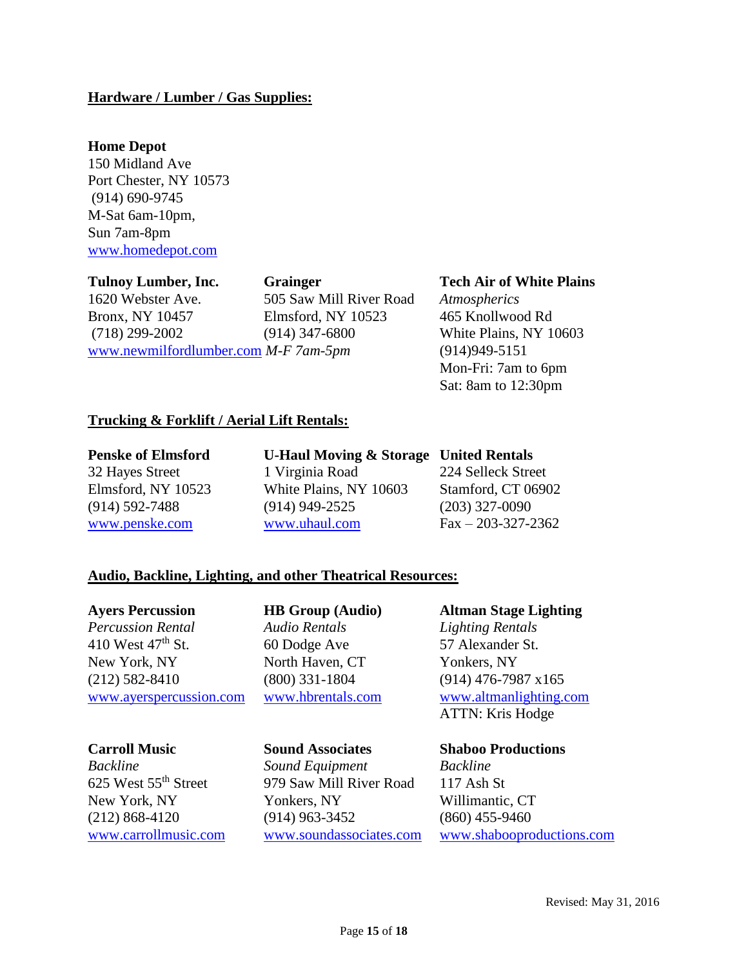### **Hardware / Lumber / Gas Supplies:**

### **Home Depot**

150 Midland Ave Port Chester, NY 10573 (914) 690-9745 M-Sat 6am-10pm, Sun 7am-8pm [www.homedepot.com](http://www.homedepot.com/)

1620 Webster Ave. 505 Saw Mill River Road *Atmospherics* Bronx, NY 10457 Elmsford, NY 10523 465 Knollwood Rd (718) 299-2002 (914) 347-6800 White Plains, NY 10603 [www.newmilfordlumber.com](http://www.newmilfordlumber.com/) *M-F 7am-5pm* (914)949-5151

### **Tulnoy Lumber, Inc. Grainger Tech Air of White Plains**

Mon-Fri: 7am to 6pm Sat: 8am to 12:30pm

### **Trucking & Forklift / Aerial Lift Rentals:**

**Penske of Elmsford U-Haul Moving & Storage United Rentals**

32 Hayes Street 1 Virginia Road 224 Selleck Street Elmsford, NY 10523 White Plains, NY 10603 Stamford, CT 06902 (914) 592-7488 (914) 949-2525 (203) 327-0090 [www.penske.com](http://www.penske.com/) [www.uhaul.com](http://www.uhaul.com/) Fax – 203-327-2362

### **Audio, Backline, Lighting, and other Theatrical Resources:**

*Percussion Rental Audio Rentals Lighting Rentals* 410 West 47<sup>th</sup> St. 60 Dodge Ave 57 Alexander St. New York, NY North Haven, CT Yonkers, NY (212) 582-8410 (800) 331-1804 (914) 476-7987 x165 [www.ayerspercussion.com](file:///C:/Documents%20and%20Settings/christy.havard/Desktop/www.ayerspercussion.com) [www.hbrentals.com](file:///C:/Documents%20and%20Settings/christy.havard/Desktop/www.hbrentals.com) [www.altmanlighting.com](file:///C:/Documents%20and%20Settings/christy.havard/Desktop/www.altmanlighting.com)

*Backline Sound Equipment Backline* 625 West 55th Street 979 Saw Mill River Road 117 Ash St New York, NY Yonkers, NY Willimantic, CT (212) 868-4120 (914) 963-3452 (860) 455-9460

### **Ayers Percussion HB Group (Audio) Altman Stage Lighting**

ATTN: Kris Hodge

### **Carroll Music Sound Associates Shaboo Productions**

[www.carrollmusic.com](http://www.carrollmusic.com/) [www.soundassociates.com](http://www.soundassociates.com/) [www.shabooproductions.com](file:///C:/Documents%20and%20Settings/christy.havard/Desktop/www.shabooproductions.com)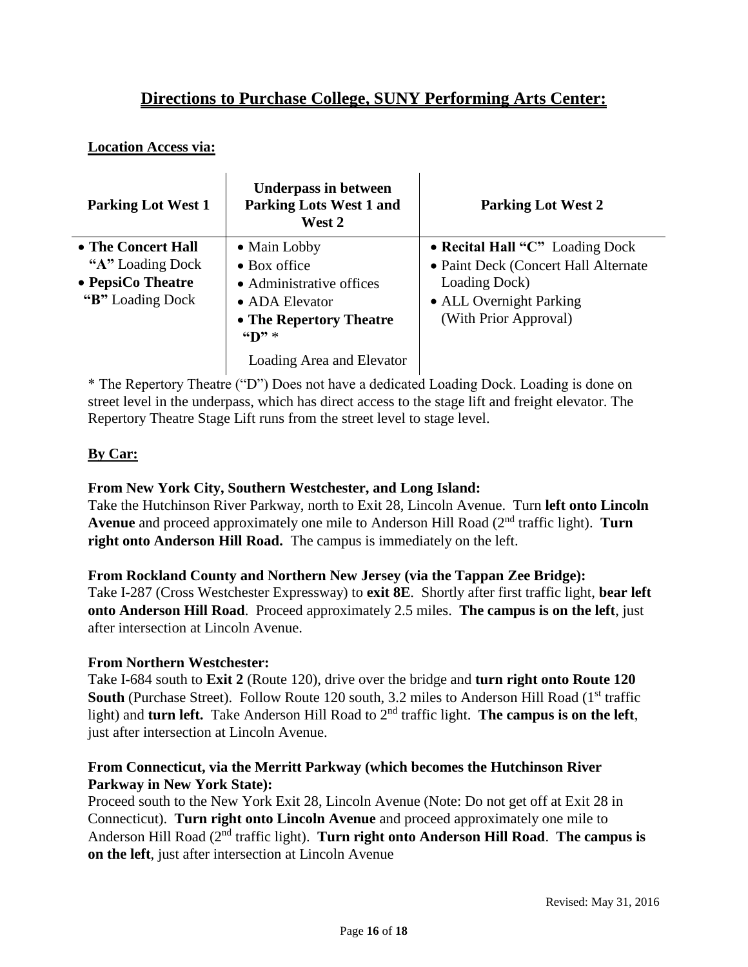# **Directions to Purchase College, SUNY Performing Arts Center:**

### **Location Access via:**

| <b>Parking Lot West 1</b>                                                        | <b>Underpass in between</b><br><b>Parking Lots West 1 and</b><br>West 2                                                                                                              | <b>Parking Lot West 2</b>                                                                                                                    |
|----------------------------------------------------------------------------------|--------------------------------------------------------------------------------------------------------------------------------------------------------------------------------------|----------------------------------------------------------------------------------------------------------------------------------------------|
| • The Concert Hall<br>"A" Loading Dock<br>• PepsiCo Theatre<br>"B" Loading Dock" | • Main Lobby<br>$\bullet$ Box office<br>• Administrative offices<br>• ADA Elevator<br>• The Repertory Theatre<br>$\mathbf{H}$ $\mathbf{D}$ $\mathbf{H}$<br>Loading Area and Elevator | • Recital Hall "C" Loading Dock<br>• Paint Deck (Concert Hall Alternate<br>Loading Dock)<br>• ALL Overnight Parking<br>(With Prior Approval) |

\* The Repertory Theatre ("D") Does not have a dedicated Loading Dock. Loading is done on street level in the underpass, which has direct access to the stage lift and freight elevator. The Repertory Theatre Stage Lift runs from the street level to stage level.

### **By Car:**

### **From New York City, Southern Westchester, and Long Island:**

Take the Hutchinson River Parkway, north to Exit 28, Lincoln Avenue. Turn **left onto Lincoln Avenue** and proceed approximately one mile to Anderson Hill Road (2nd traffic light). **Turn right onto Anderson Hill Road.** The campus is immediately on the left.

### **From Rockland County and Northern New Jersey (via the Tappan Zee Bridge):**

Take I-287 (Cross Westchester Expressway) to **exit 8E**. Shortly after first traffic light, **bear left onto Anderson Hill Road**. Proceed approximately 2.5 miles. **The campus is on the left**, just after intersection at Lincoln Avenue.

### **From Northern Westchester:**

Take I-684 south to **Exit 2** (Route 120), drive over the bridge and **turn right onto Route 120 South** (Purchase Street). Follow Route 120 south, 3.2 miles to Anderson Hill Road (1<sup>st</sup> traffic light) and **turn left.** Take Anderson Hill Road to 2<sup>nd</sup> traffic light. **The campus is on the left**, just after intersection at Lincoln Avenue.

### **From Connecticut, via the Merritt Parkway (which becomes the Hutchinson River Parkway in New York State):**

Proceed south to the New York Exit 28, Lincoln Avenue (Note: Do not get off at Exit 28 in Connecticut). **Turn right onto Lincoln Avenue** and proceed approximately one mile to Anderson Hill Road (2nd traffic light). **Turn right onto Anderson Hill Road**. **The campus is on the left**, just after intersection at Lincoln Avenue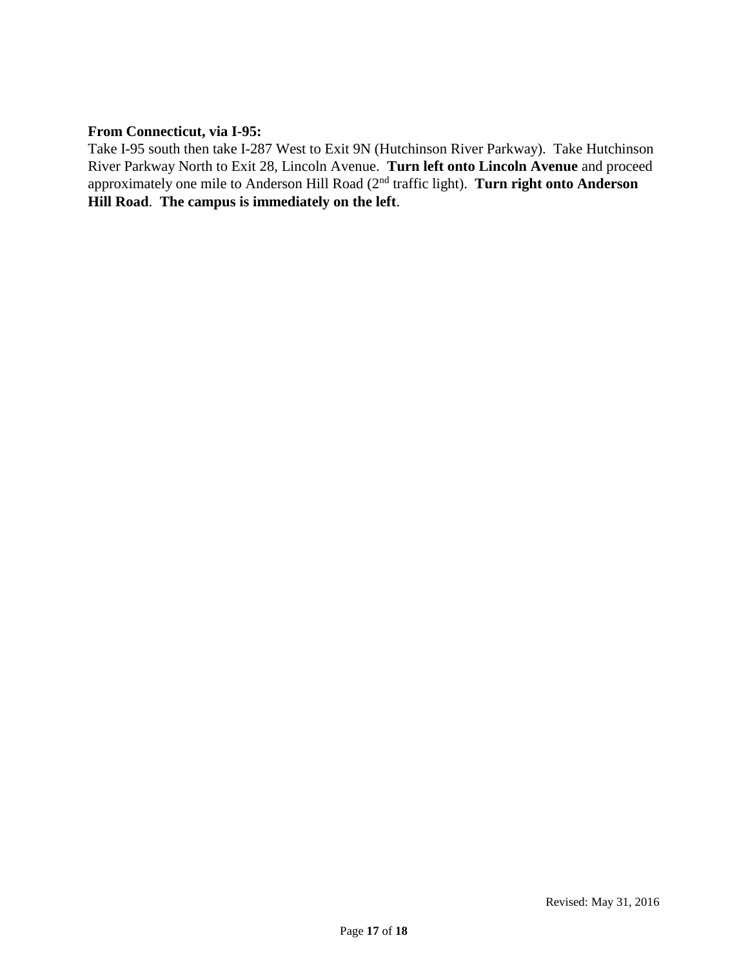### **From Connecticut, via I-95:**

Take I-95 south then take I-287 West to Exit 9N (Hutchinson River Parkway). Take Hutchinson River Parkway North to Exit 28, Lincoln Avenue. **Turn left onto Lincoln Avenue** and proceed approximately one mile to Anderson Hill Road (2nd traffic light). **Turn right onto Anderson Hill Road**. **The campus is immediately on the left**.